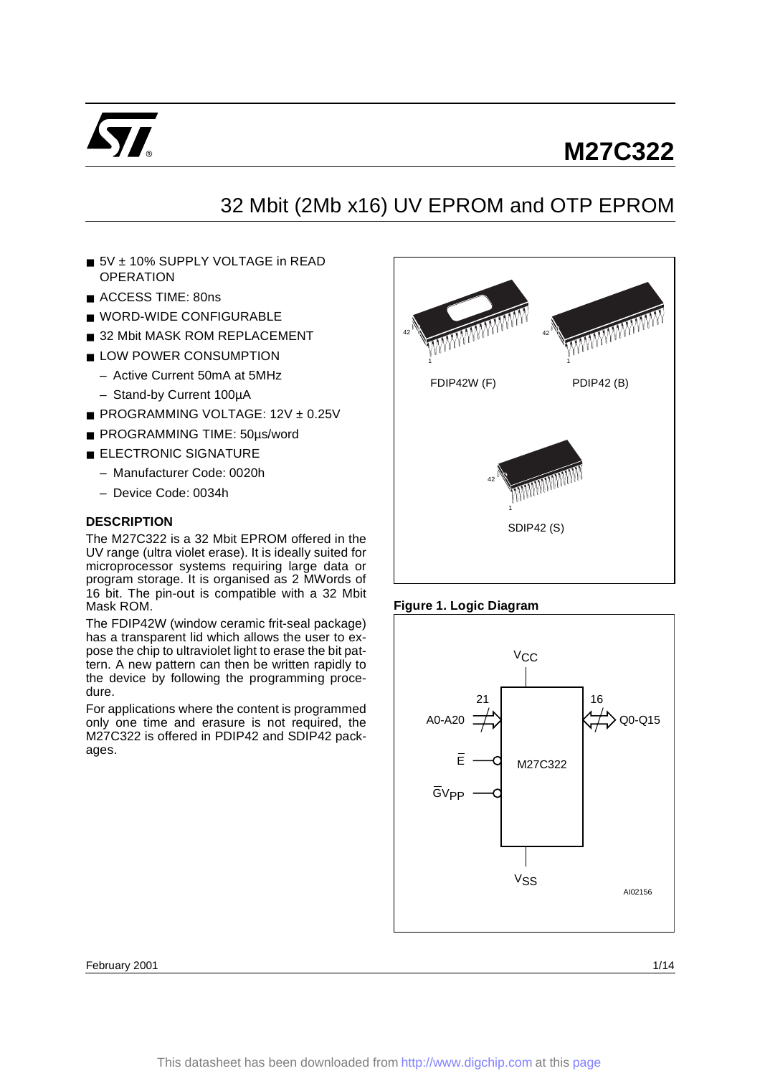

# 32 Mbit (2Mb x16) UV EPROM and OTP EPROM

- 5V + 10% SUPPLY VOLTAGE in READ **OPERATION**
- ACCESS TIME: 80ns
- WORD-WIDE CONFIGURABLE
- 32 Mbit MASK ROM REPLACEMENT
- LOW POWER CONSUMPTION
	- Active Current 50mA at 5MHz
	- Stand-by Current 100µA
- PROGRAMMING VOLTAGE: 12V ± 0.25V
- PROGRAMMING TIME: 50µs/word
- ELECTRONIC SIGNATURE
	- Manufacturer Code: 0020h
	- Device Code: 0034h

### **DESCRIPTION**

The M27C322 is a 32 Mbit EPROM offered in the UV range (ultra violet erase). It is ideally suited for microprocessor systems requiring large data or program storage. It is organised as 2 MWords of 16 bit. The pin-out is compatible with a 32 Mbit Mask ROM.

The FDIP42W (window ceramic frit-seal package) has a transparent lid which allows the user to expose the chip to ultraviolet light to erase the bit pattern. A new pattern can then be written rapidly to the device by following the programming procedure.

For applications where the content is programmed only one time and erasure is not required, the M27C322 is offered in PDIP42 and SDIP42 packages.







February 2001 **1/14** and 1/14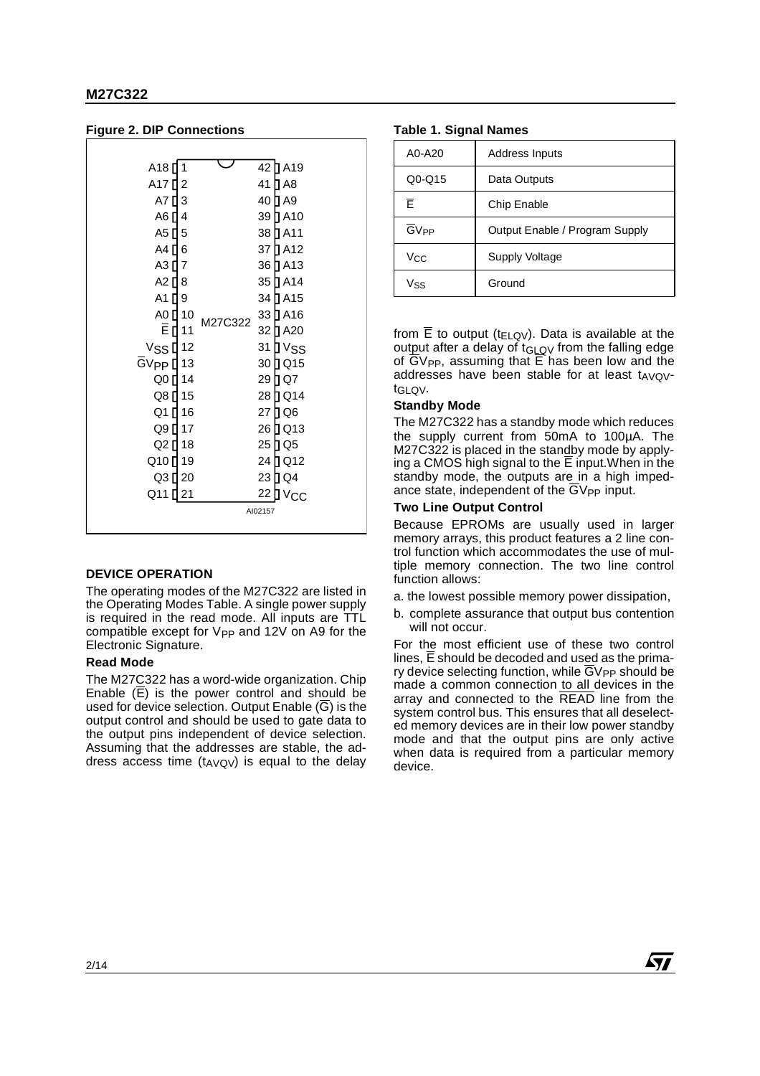| A18 <sup>[]</sup><br>1                     |         | 42 ∏ A19             |
|--------------------------------------------|---------|----------------------|
| A17 <sup>[12]</sup>                        |         | 41 D A8              |
| A7 <sup>[13]</sup>                         |         | 40 ∐ A9              |
| A6 [ 4                                     |         | 39 ∏ A10             |
| A5 [ 5                                     |         | 38 D A11             |
| A4 [] 6                                    |         | 37 DA12              |
| A3 [ 7                                     |         | 36 D A13             |
| A2 [ 8                                     |         | 35 DA14              |
| A1 [ 9                                     |         | 34 D A15             |
| A0 <b>[</b> 10                             | M27C322 | 33 ∏ A16             |
| <b>ĒП11</b>                                |         | 32 ∏ A20             |
| $V$ SS $\P$ 12                             |         | 31 D V <sub>SS</sub> |
| $\overline{G}V_{\text{PP}}\overline{u}$ 13 |         | 30 D Q 15            |
| Q0 [ 14                                    |         | 29 ∏ Q7              |
| Q8 [ 15                                    |         | 28 D Q 14            |
| Q1 [] 16                                   |         | 27 D Q 6             |
| Q9 [ 17                                    |         | 26 D Q13             |
| Q2 [ 18                                    |         | 25 D Q 5             |
| Q10 [] 19                                  |         | 24 D Q 12            |
| Q3 [ 20                                    |         | 23 D Q 4             |
| Q11<br>21                                  |         | 22<br>⊺∨сс           |
|                                            |         | AI02157              |
|                                            |         |                      |

### **Figure 2. DIP Connections**

### **DEVICE OPERATION**

The operating modes of the M27C322 are listed in the Operating Modes Table. A single power supply is required in the read mode. All inputs are TTL compatible except for  $V_{PP}$  and 12V on A9 for the Electronic Signature.

#### **Read Mode**

The M27C322 has a word-wide organization. Chip Enable  $(\overline{E})$  is the power control and should be used for device selection. Output Enable  $(\overline{G})$  is the output control and should be used to gate data to the output pins independent of device selection. Assuming that the addresses are stable, the address access time  $(t_{AVQV})$  is equal to the delay

#### **Table 1. Signal Names**

| A0-A20                 | Address Inputs                 |
|------------------------|--------------------------------|
| $Q0 - Q15$             | Data Outputs                   |
| F                      | Chip Enable                    |
| <b>GV<sub>PP</sub></b> | Output Enable / Program Supply |
| Vcc                    | <b>Supply Voltage</b>          |
| Vss                    | Ground                         |

from  $\overline{E}$  to output (t<sub>ELQV</sub>). Data is available at the output after a delay of  $t_{GLOV}$  from the falling edge of  $\overline{G}V_{PP}$ , assuming that  $\overline{E}$  has been low and the addresses have been stable for at least  $t_{AVO}$ tGLQV.

### **Standby Mode**

The M27C322 has a standby mode which reduces the supply current from 50mA to 100µA. The M27C322 is placed in the standby mode by applying a CMOS high signal to the  $\overline{E}$  input. When in the standby mode, the outputs are in a high impedance state, independent of the GV<sub>PP</sub> input.

#### **Two Line Output Control**

Because EPROMs are usually used in larger memory arrays, this product features a 2 line control function which accommodates the use of multiple memory connection. The two line control function allows:

- a. the lowest possible memory power dissipation,
- b. complete assurance that output bus contention will not occur.

For the most efficient use of these two control lines,  $\overline{E}$  should be decoded and used as the primary device selecting function, while  $\overline{G}V_{PP}$  should be made a common connection to all devices in the array and connected to the READ line from the system control bus. This ensures that all deselected memory devices are in their low power standby mode and that the output pins are only active when data is required from a particular memory device.

**Ayy**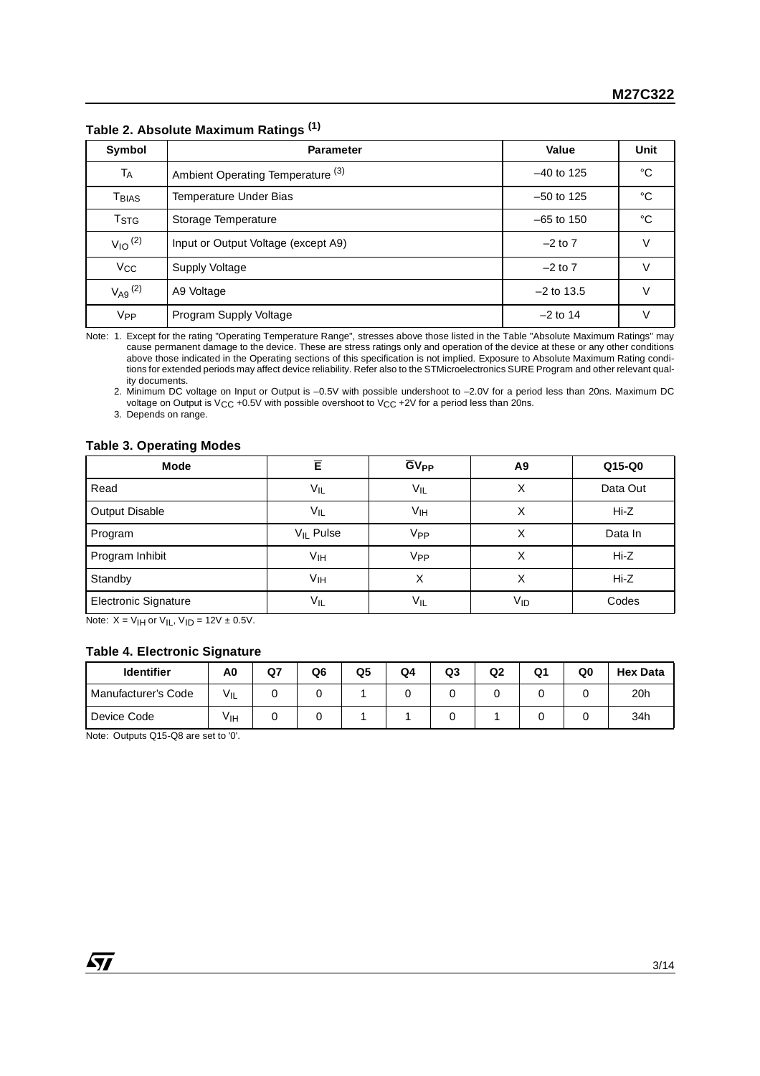| Symbol                     | <b>Parameter</b>                             | Value        | <b>Unit</b> |
|----------------------------|----------------------------------------------|--------------|-------------|
| TA                         | Ambient Operating Temperature <sup>(3)</sup> | $-40$ to 125 | °C          |
| $\mathsf{T}_\mathsf{BIAS}$ | Temperature Under Bias                       | $-50$ to 125 | °C          |
| <b>T</b> <sub>STG</sub>    | Storage Temperature                          | $-65$ to 150 | °C          |
| $V_{10}$ <sup>(2)</sup>    | Input or Output Voltage (except A9)          | $-2$ to 7    | V           |
| $V_{\rm CC}$               | Supply Voltage                               | $-2$ to $7$  | v           |
| $V_{A9}$ (2)               | A9 Voltage                                   | $-2$ to 13.5 | v           |
| <b>V<sub>PP</sub></b>      | Program Supply Voltage                       | $-2$ to 14   | V           |

**Table 2. Absolute Maximum Ratings (1)**

Note: 1. Except for the rating "Operating Temperature Range", stresses above those listed in the Table "Absolute Maximum Ratings" may cause permanent damage to the device. These are stress ratings only and operation of the device at these or any other conditions above those indicated in the Operating sections of this specification is not implied. Exposure to Absolute Maximum Rating conditions for extended periods may affect device reliability. Refer also to the STMicroelectronics SURE Program and other relevant quality documents.

2. Minimum DC voltage on Input or Output is –0.5V with possible undershoot to –2.0V for a period less than 20ns. Maximum DC voltage on Output is VCC +0.5V with possible overshoot to VCC +2V for a period less than 20ns.

3. Depends on range.

### **Table 3. Operating Modes**

| Mode                 | Ē                     | <b>GV<sub>PP</sub></b> | A9  | $Q15-Q0$ |
|----------------------|-----------------------|------------------------|-----|----------|
| Read                 | VIL                   | VIL                    | X   | Data Out |
| Output Disable       | $V_{IL}$              | Vıн                    |     | Hi-Z     |
| Program              | V <sub>IL</sub> Pulse | V <sub>PP</sub>        | х   | Data In  |
| Program Inhibit      | Vıн                   | V <sub>PP</sub>        | Χ   | Hi-Z     |
| Standby              | Vıн                   | X                      | Χ   | $Hi-Z$   |
| Electronic Signature | Vıl                   | $V_{IL}$               | Vıd | Codes    |

Note:  $X = V_H$  or  $V_H$ ,  $V_H = 12V \pm 0.5V$ .

### **Table 4. Electronic Signature**

| <b>Identifier</b>   | A0  | Q7 | Q <sub>6</sub> | Q <sub>5</sub> | Q <sub>4</sub> | Q3 | Q <sub>2</sub> | Q1 | Q0 | <b>Hex Data</b> |
|---------------------|-----|----|----------------|----------------|----------------|----|----------------|----|----|-----------------|
| Manufacturer's Code | VIL |    |                |                |                |    |                |    |    | 20h             |
| Device Code         | Уιн |    |                |                |                |    |                |    |    | 34h             |

Note: Outputs Q15-Q8 are set to '0'.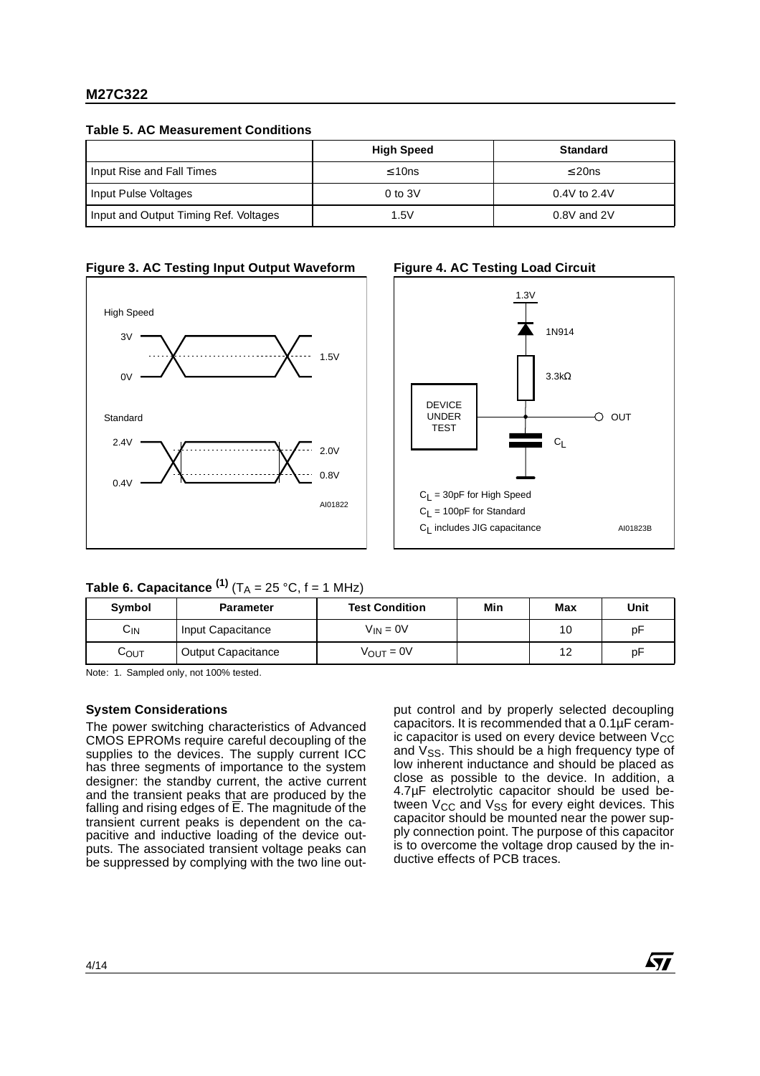**Table 5. AC Measurement Conditions**

|                                       | <b>High Speed</b> | <b>Standard</b> |
|---------------------------------------|-------------------|-----------------|
| Input Rise and Fall Times             | $\leq 10$ ns      | $\leq$ 20ns     |
| Input Pulse Voltages                  | $0$ to $3V$       | $0.4V$ to 2.4V  |
| Input and Output Timing Ref. Voltages | 1.5V              | $0.8V$ and $2V$ |







# **Table 6. Capacitance**  $^{(1)}$  **(T<sub>A</sub> = 25 °C, f = 1 MHz)**

| Symbol            | <b>Parameter</b>   | <b>Test Condition</b> | Min | Max    | Unit |
|-------------------|--------------------|-----------------------|-----|--------|------|
| $C_{\mathsf{IN}}$ | Input Capacitance  | $V_{IN} = 0V$         |     | 10     | pF   |
| Соυт              | Output Capacitance | $V_{OUT} = 0V$        |     | $\sim$ | pF   |

Note: 1. Sampled only, not 100% tested.

# **System Considerations**

The power switching characteristics of Advanced CMOS EPROMs require careful decoupling of the supplies to the devices. The supply current ICC has three segments of importance to the system designer: the standby current, the active current and the transient peaks that are produced by the falling and rising edges of E. The magnitude of the transient current peaks is dependent on the capacitive and inductive loading of the device outputs. The associated transient voltage peaks can be suppressed by complying with the two line output control and by properly selected decoupling capacitors. It is recommended that a 0.1µF ceramic capacitor is used on every device between  $V_{CC}$ and  $V_{SS}$ . This should be a high frequency type of low inherent inductance and should be placed as close as possible to the device. In addition, a 4.7µF electrolytic capacitor should be used between  $V_{CC}$  and  $V_{SS}$  for every eight devices. This capacitor should be mounted near the power supply connection point. The purpose of this capacitor is to overcome the voltage drop caused by the inductive effects of PCB traces.

57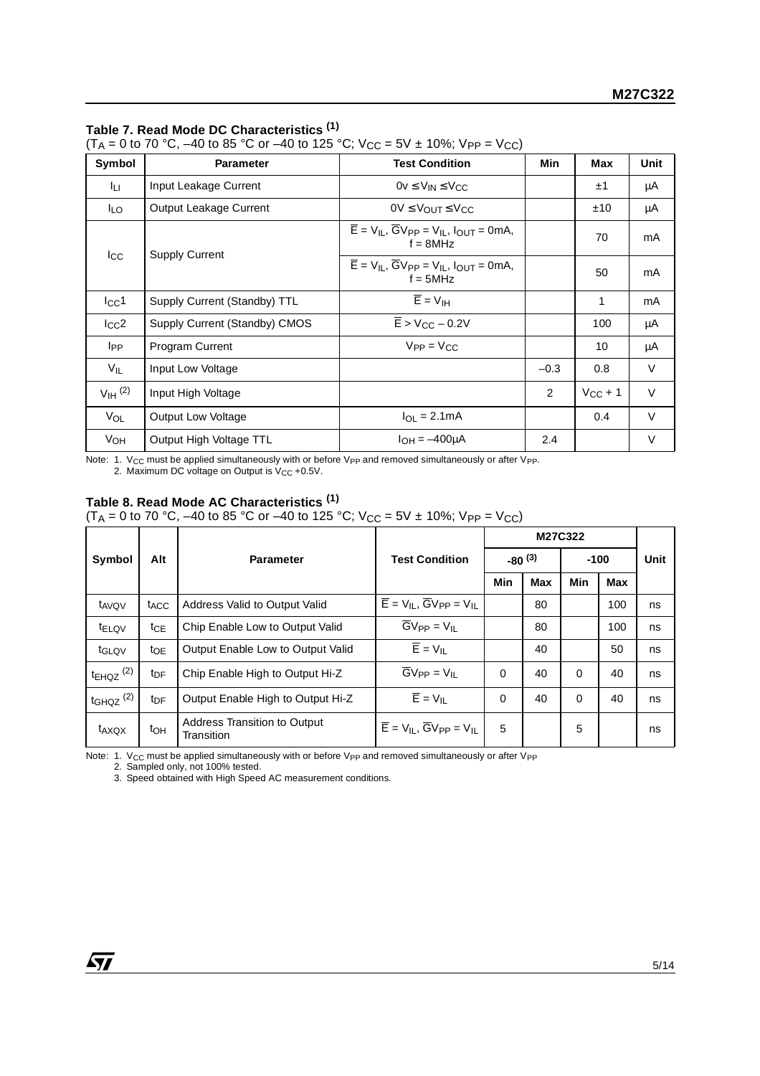# **Table 7. Read Mode DC Characteristics (1)**

(T<sub>A</sub> = 0 to 70 °C, –40 to 85 °C or –40 to 125 °C; V<sub>CC</sub> = 5V ± 10%; V<sub>PP</sub> = V<sub>CC</sub>)

| Symbol                | <b>Parameter</b>              | <b>Test Condition</b>                                                                                      | Min    | Max          | Unit   |
|-----------------------|-------------------------------|------------------------------------------------------------------------------------------------------------|--------|--------------|--------|
| Īц.                   | Input Leakage Current         | $0v \le V_{IN} \le V_{CC}$                                                                                 |        | ±1           | μA     |
| ILO.                  | Output Leakage Current        | $0V \leq V_{\text{OUT}} \leq V_{\text{CC}}$                                                                |        | ±10          | μA     |
|                       |                               | $\overline{E}$ = V <sub>IL</sub> , $\overline{G}V_{PP}$ = V <sub>IL</sub> , $I_{OUT}$ = 0mA,<br>$f = 8MHz$ |        | 70           | mA     |
| $_{\rm lcc}$          | <b>Supply Current</b>         | $\overline{E}$ = $V_{IL}$ , $\overline{G}V_{PP}$ = $V_{IL}$ , $I_{OUT}$ = 0mA,<br>$f = 5MHz$               |        | 50           | mA     |
| $I_{\rm CC}1$         | Supply Current (Standby) TTL  | $\overline{E}$ = $V_{\text{IH}}$                                                                           |        | 1            | mA     |
| $_{\rm lcc2}$         | Supply Current (Standby) CMOS | $\overline{E}$ > V <sub>CC</sub> – 0.2V                                                                    |        | 100          | μA     |
| <b>I</b> PP           | <b>Program Current</b>        | $V_{PP} = V_{CC}$                                                                                          |        | 10           | μA     |
| $V_{IL}$              | Input Low Voltage             |                                                                                                            | $-0.3$ | 0.8          | V      |
| $V_{\text{IH}}^{(2)}$ | Input High Voltage            |                                                                                                            | 2      | $V_{CC}$ + 1 | $\vee$ |
| VOL                   | Output Low Voltage            | $I_{\Omega I} = 2.1 \text{mA}$                                                                             |        | 0.4          | $\vee$ |
| V <sub>OH</sub>       | Output High Voltage TTL       | $I_{OH} = -400 \mu A$                                                                                      | 2.4    |              | V      |

Note: 1. V $_{\rm CC}$  must be applied simultaneously with or before V $_{\rm PP}$  and removed simultaneously or after V $_{\rm PP}$ . 2. Maximum DC voltage on Output is  $V_{CC}$  +0.5V.

# **Table 8. Read Mode AC Characteristics (1)**

(T<sub>A</sub> = 0 to 70 °C, –40 to 85 °C or –40 to 125 °C; V<sub>CC</sub> = 5V ± 10%; V<sub>PP</sub> = V<sub>CC</sub>)

| Symbol                    | Alt              | <b>Parameter</b>                           | <b>Test Condition</b>                                       |          | $-80^{(3)}$ |          | $-100$     |    |
|---------------------------|------------------|--------------------------------------------|-------------------------------------------------------------|----------|-------------|----------|------------|----|
|                           |                  |                                            |                                                             | Min      | <b>Max</b>  | Min      | <b>Max</b> |    |
| t <sub>AVQV</sub>         | t <sub>ACC</sub> | Address Valid to Output Valid              | $\overline{E}$ = $V_{IL}$ , $\overline{G}V_{PP}$ = $V_{IL}$ |          | 80          |          | 100        | ns |
| t <sub>ELQV</sub>         | $t_{CE}$         | Chip Enable Low to Output Valid            | $\overline{G}V_{PP} = V_{IL}$                               |          | 80          |          | 100        | ns |
| t <sub>GLQV</sub>         | toe              | Output Enable Low to Output Valid          | $\overline{E}$ = $V_{II}$                                   |          | 40          |          | 50         | ns |
| $t_{EHQZ}$ <sup>(2)</sup> | t <sub>DF</sub>  | Chip Enable High to Output Hi-Z            | $\overline{G}V_{PP} = V_{IL}$                               | 0        | 40          | $\Omega$ | 40         | ns |
| $t$ GHQZ $(2)$            | t <sub>DF</sub>  | Output Enable High to Output Hi-Z          | $\overline{E}$ = $V_{\text{II}}$                            | $\Omega$ | 40          | $\Omega$ | 40         | ns |
| t <sub>AXQX</sub>         | toh              | Address Transition to Output<br>Transition | $\overline{E}$ = $V_{IL}$ , $\overline{G}V_{PP}$ = $V_{IL}$ | 5        |             | 5        |            | ns |

Note: 1. V<sub>CC</sub> must be applied simultaneously with or before V<sub>PP</sub> and removed simultaneously or after V<sub>PP</sub>

2. Sampled only, not 100% tested.

3. Speed obtained with High Speed AC measurement conditions.

57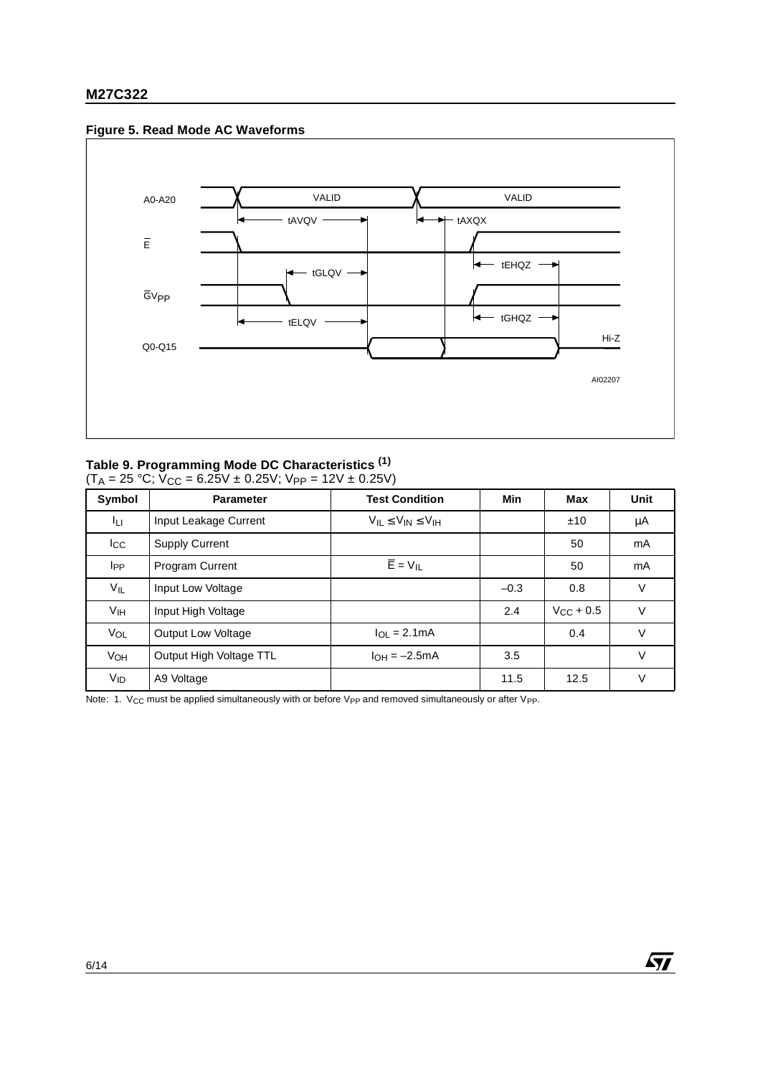### **Figure 5. Read Mode AC Waveforms**



# **Table 9. Programming Mode DC Characteristics (1)**

 $(T_A = 25 °C; V_{CC} = 6.25V \pm 0.25V; V_{PP} = 12V \pm 0.25V)$ 

| Symbol          | <b>Parameter</b>        | <b>Test Condition</b>            | <b>Min</b> | Max            | Unit   |
|-----------------|-------------------------|----------------------------------|------------|----------------|--------|
| ĪЦ.             | Input Leakage Current   | $V_{IL} \leq V_{IN} \leq V_{IH}$ |            | ±10            | μA     |
| $_{\rm{lcc}}$   | <b>Supply Current</b>   |                                  |            | 50             | mA     |
| <b>I</b> PP     | <b>Program Current</b>  | $\overline{E}$ = $V_{IL}$        |            | 50             | mA     |
| $V_{IL}$        | Input Low Voltage       |                                  | $-0.3$     | 0.8            | $\vee$ |
| Vıн             | Input High Voltage      |                                  | 2.4        | $V_{CC}$ + 0.5 | V      |
| VOL             | Output Low Voltage      | $I_{\text{OI}} = 2.1 \text{mA}$  |            | 0.4            | V      |
| VOH             | Output High Voltage TTL | $I_{OH} = -2.5mA$                | 3.5        |                | $\vee$ |
| V <sub>ID</sub> | A9 Voltage              |                                  | 11.5       | 12.5           | V      |

Note: 1. V<sub>CC</sub> must be applied simultaneously with or before V<sub>PP</sub> and removed simultaneously or after V<sub>PP</sub>.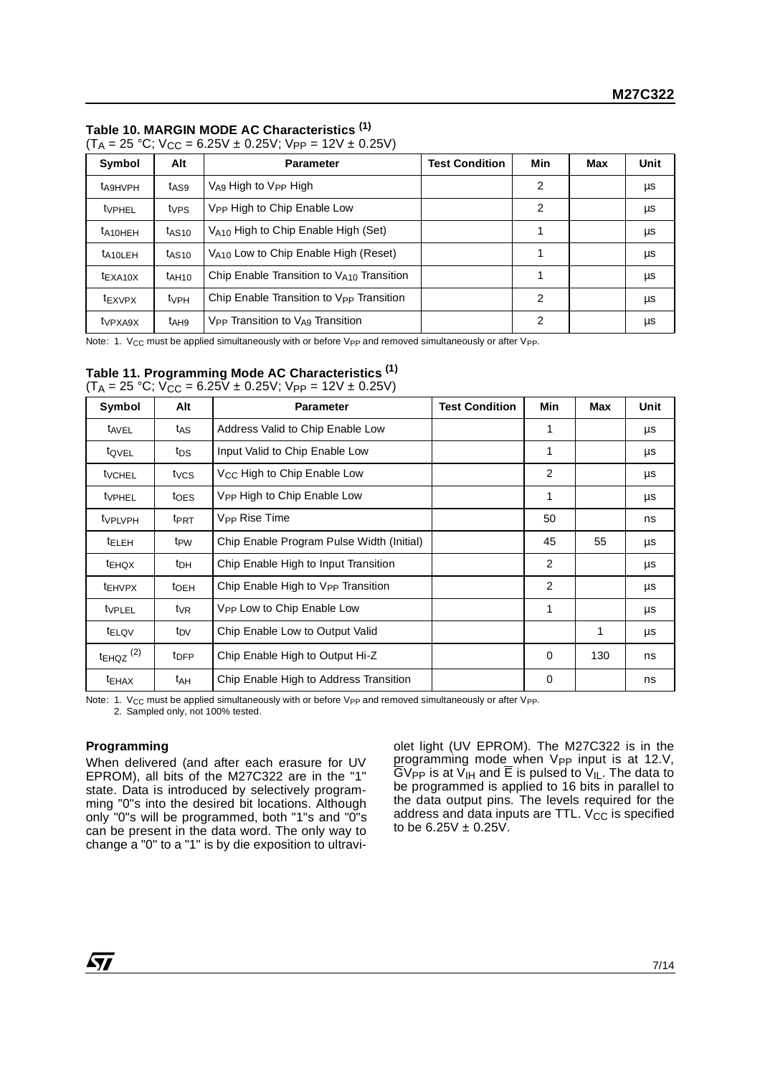# **Table 10. MARGIN MODE AC Characteristics (1)**

| Symbol               | Alt               | <b>Parameter</b>                                         | <b>Test Condition</b> | Min | Max | <b>Unit</b> |
|----------------------|-------------------|----------------------------------------------------------|-----------------------|-----|-----|-------------|
| <b>t</b> A9HVPH      | t <sub>AS9</sub>  | $V_{\text{A}9}$ High to $V_{\text{PP}}$ High             |                       | 2   |     | μs          |
| tvPHEL               | tves              | V <sub>PP</sub> High to Chip Enable Low                  |                       | 2   |     | μs          |
| $t_{A10HEH}$         | t <sub>AS10</sub> | $V_{A10}$ High to Chip Enable High (Set)                 |                       |     |     | μs          |
| t <sub>A10LEH</sub>  | t <sub>AS10</sub> | V <sub>A10</sub> Low to Chip Enable High (Reset)         |                       |     |     | μs          |
| $t_{\text{EXA10X}}$  | tah10             | Chip Enable Transition to VA10 Transition                |                       |     |     | μs          |
| t <sub>EXVPX</sub>   | $t_{VPH}$         | Chip Enable Transition to V <sub>PP</sub> Transition     |                       | 2   |     | μs          |
| t <sub>VP</sub> XA9X | t <sub>AH9</sub>  | V <sub>PP</sub> Transition to V <sub>A9</sub> Transition |                       | 2   |     | μs          |

| $(T_A = 25 °C; V_{CC} = 6.25V \pm 0.25V; V_{PP} = 12V \pm 0.25V)$ |  |  |  |
|-------------------------------------------------------------------|--|--|--|

Note: 1. V<sub>CC</sub> must be applied simultaneously with or before V<sub>PP</sub> and removed simultaneously or after V<sub>PP</sub>.

### **Table 11. Programming Mode AC Characteristics (1)**  $(T_A = 25 \text{ °C}; V_{\text{CC}} = 6.25V \pm 0.25V; V_{\text{PP}} = 12V \pm 0.25V)$

| Symbol                    | Alt              | <b>Parameter</b>                               | <b>Test Condition</b> | Min            | Max | Unit |
|---------------------------|------------------|------------------------------------------------|-----------------------|----------------|-----|------|
| t <sub>AVEL</sub>         | t <sub>AS</sub>  | Address Valid to Chip Enable Low               |                       | 1              |     | μs   |
| tQVEL                     | tps              | Input Valid to Chip Enable Low                 |                       | 1              |     | μs   |
| t <sub>VCHEL</sub>        | t <sub>VCS</sub> | V <sub>CC</sub> High to Chip Enable Low        |                       | 2              |     | μs   |
| tvPHEL                    | t <sub>OES</sub> | V <sub>PP</sub> High to Chip Enable Low        |                       | 1              |     | μs   |
| tvpLvpH                   | t <sub>PRT</sub> | V <sub>PP</sub> Rise Time                      |                       | 50             |     | ns   |
| <sup>t</sup> ELEH         | t <sub>PW</sub>  | Chip Enable Program Pulse Width (Initial)      |                       | 45             | 55  | μs   |
| t <sub>EHQX</sub>         | t <sub>DH</sub>  | Chip Enable High to Input Transition           |                       | $\overline{2}$ |     | μs   |
| <b>EHVPX</b>              | t <sub>OEH</sub> | Chip Enable High to V <sub>PP</sub> Transition |                       | 2              |     | μs   |
| tvPLEL                    | $t_{VR}$         | V <sub>PP</sub> Low to Chip Enable Low         |                       | 1              |     | μs   |
| t <sub>ELQV</sub>         | t <sub>DV</sub>  | Chip Enable Low to Output Valid                |                       |                | 1   | μs   |
| $t_{EHQZ}$ <sup>(2)</sup> | t <sub>DFP</sub> | Chip Enable High to Output Hi-Z                |                       | $\Omega$       | 130 | ns   |
| t <sub>EHAX</sub>         | t <sub>AH</sub>  | Chip Enable High to Address Transition         |                       | 0              |     | ns   |

Note: 1. V<sub>CC</sub> must be applied simultaneously with or before V<sub>PP</sub> and removed simultaneously or after V<sub>PP</sub>.

2. Sampled only, not 100% tested.

# **Programming**

When delivered (and after each erasure for UV EPROM), all bits of the M27C322 are in the "1" state. Data is introduced by selectively programming "0"s into the desired bit locations. Although only "0"s will be programmed, both "1"s and "0"s can be present in the data word. The only way to change a "0" to a "1" is by die exposition to ultraviolet light (UV EPROM). The M27C322 is in the programming mode\_when V<sub>PP</sub> input is at 12.V, GV<sub>PP</sub> is at V<sub>IH</sub> and E is pulsed to V<sub>IL</sub>. The data to be programmed is applied to 16 bits in parallel to the data output pins. The levels required for the address and data inputs are TTL.  $V_{CC}$  is specified to be  $6.25V \pm 0.25V$ .

57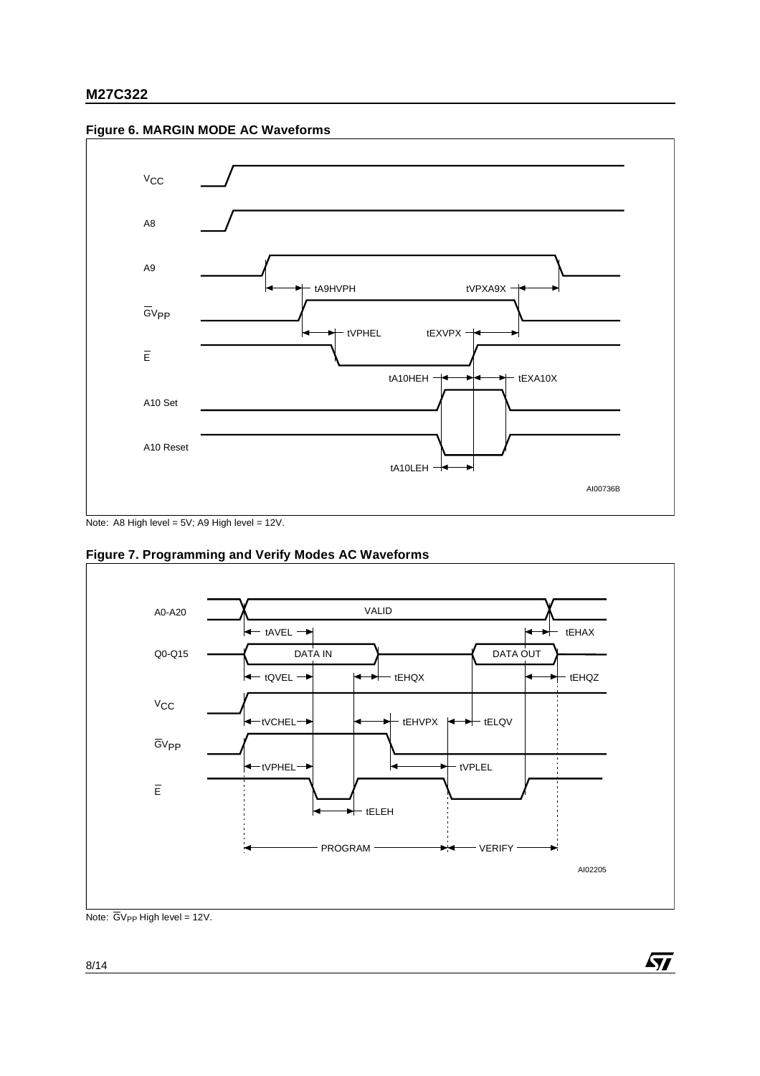



Note: A8 High level = 5V; A9 High level = 12V.



 $\sqrt{M}$ 

**Figure 7. Programming and Verify Modes AC Waveforms**

Note:  $\overline{G}V_{PP}$  High level = 12V.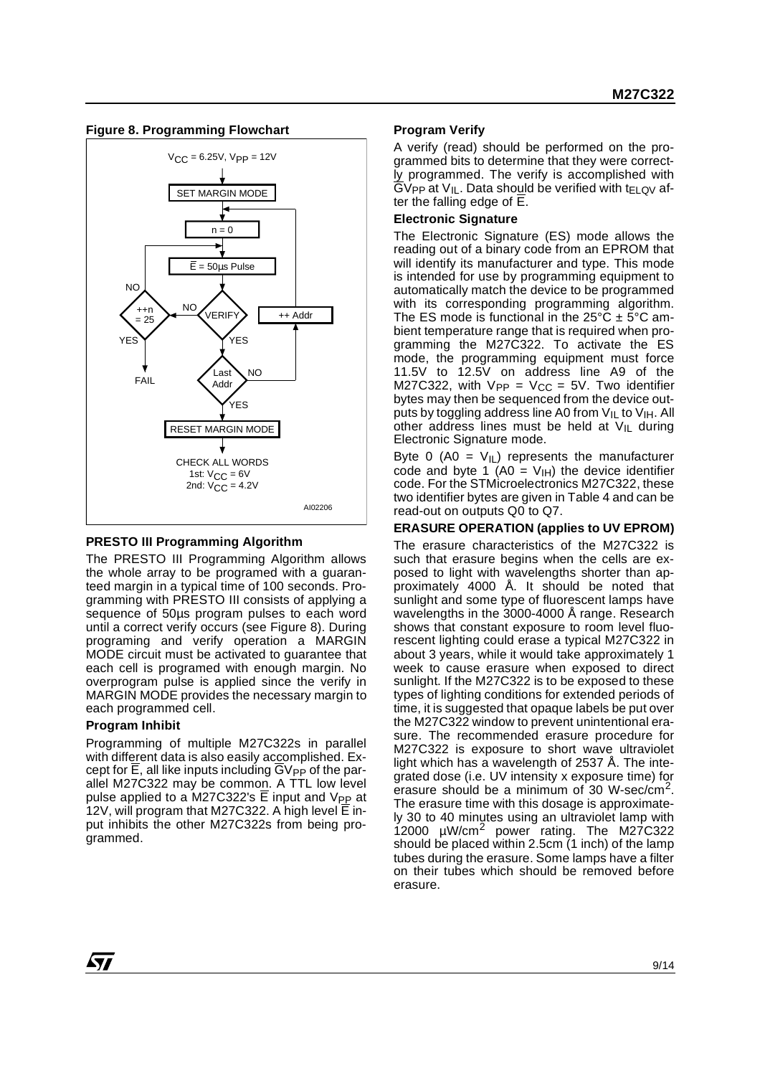



# **PRESTO III Programming Algorithm**

The PRESTO III Programming Algorithm allows the whole array to be programed with a guaranteed margin in a typical time of 100 seconds. Programming with PRESTO III consists of applying a sequence of 50 $\mu$ s program pulses to each word until a correct verify occurs (see Figure 8). During programing and verify operation a MARGIN MODE circuit must be activated to guarantee that each cell is programed with enough margin. No overprogram pulse is applied since the verify in MARGIN MODE provides the necessary margin to each programmed cell.

# **Program Inhibit**

Programming of multiple M27C322s in parallel with different data is also easily accomplished. Except for  $E$ , all like inputs including  $GV_{PP}$  of the parallel M27C322 may be common. A TTL low level pulse applied to a M27C322's E input and V<sub>PP</sub> at 12V, will program that M27C322. A high level E input inhibits the other M27C322s from being programmed.

### **Program Verify**

A verify (read) should be performed on the programmed bits to determine that they were correctly programmed. The verify is accomplished with  $\overline{G}V_{PP}$  at  $V_{IL}$ . Data should be verified with t<sub>ELQV</sub> after the falling edge of  $\overline{E}$ .

### **Electronic Signature**

The Electronic Signature (ES) mode allows the reading out of a binary code from an EPROM that will identify its manufacturer and type. This mode is intended for use by programming equipment to automatically match the device to be programmed with its corresponding programming algorithm. The ES mode is functional in the  $25^{\circ}$ C  $\pm$  5°C ambient temperature range that is required when programming the M27C322. To activate the ES mode, the programming equipment must force 11.5V to 12.5V on address line A9 of the M27C322, with  $V_{PP} = V_{CC} = 5V$ . Two identifier bytes may then be sequenced from the device outputs by toggling address line A0 from  $V_{IL}$  to  $V_{IH}$ . All other address lines must be held at  $V_{\parallel L}$  during Electronic Signature mode.

Byte 0 (A0 =  $V_{\text{IL}}$ ) represents the manufacturer code and byte 1 (A0 =  $V_{\text{IH}}$ ) the device identifier code. For the STMicroelectronics M27C322, these two identifier bytes are given in Table 4 and can be read-out on outputs Q0 to Q7.

# **ERASURE OPERATION (applies to UV EPROM)**

The erasure characteristics of the M27C322 is such that erasure begins when the cells are exposed to light with wavelengths shorter than approximately 4000 Å. It should be noted that sunlight and some type of fluorescent lamps have wavelengths in the 3000-4000 Å range. Research shows that constant exposure to room level fluorescent lighting could erase a typical M27C322 in about 3 years, while it would take approximately 1 week to cause erasure when exposed to direct sunlight. If the M27C322 is to be exposed to these types of lighting conditions for extended periods of time, it is suggested that opaque labels be put over the M27C322 window to prevent unintentional erasure. The recommended erasure procedure for M27C322 is exposure to short wave ultraviolet light which has a wavelength of 2537 Å. The integrated dose (i.e. UV intensity x exposure time) for erasure should be a minimum of 30 W-sec/cm2. The erasure time with this dosage is approximately 30 to 40 minutes using an ultraviolet lamp with 12000 µW/cm2 power rating. The M27C322 should be placed within 2.5cm  $(1 \text{ inch})$  of the lamp tubes during the erasure. Some lamps have a filter on their tubes which should be removed before erasure.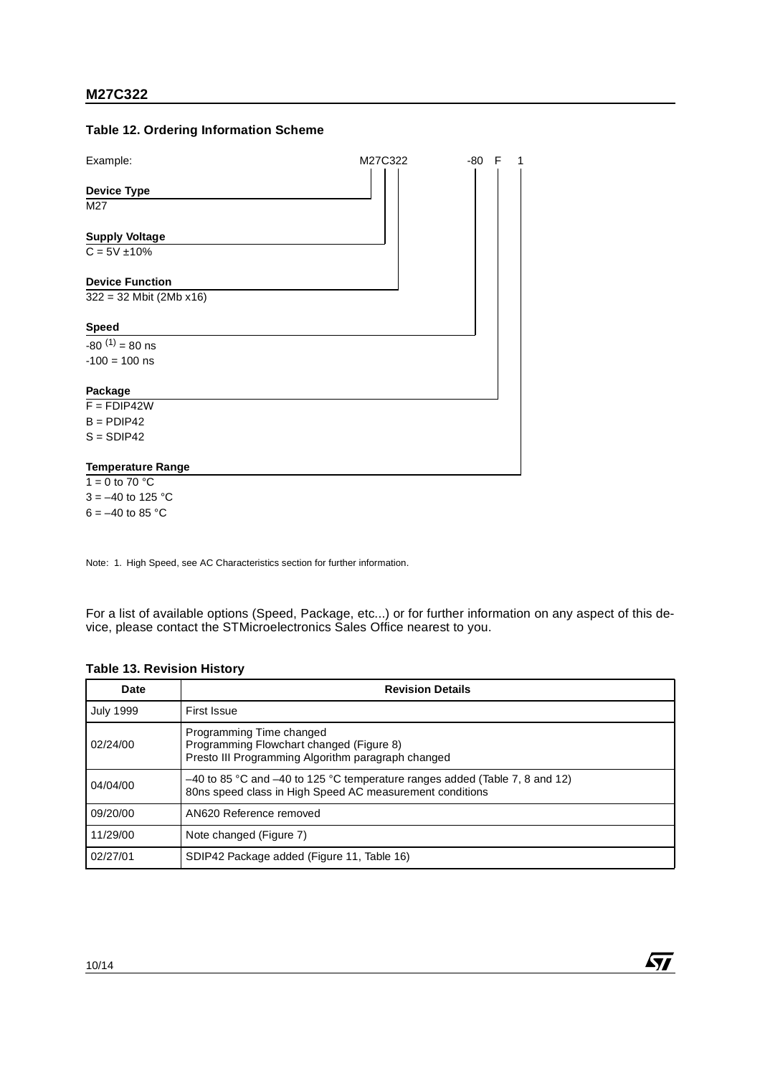### **Table 12. Ordering Information Scheme**



Note: 1. High Speed, see AC Characteristics section for further information.

For a list of available options (Speed, Package, etc...) or for further information on any aspect of this device, please contact the STMicroelectronics Sales Office nearest to you.

| <b>Date</b>      | <b>Revision Details</b>                                                                                                                     |
|------------------|---------------------------------------------------------------------------------------------------------------------------------------------|
| <b>July 1999</b> | First Issue                                                                                                                                 |
| 02/24/00         | Programming Time changed<br>Programming Flowchart changed (Figure 8)<br>Presto III Programming Algorithm paragraph changed                  |
| 04/04/00         | $-40$ to 85 °C and $-40$ to 125 °C temperature ranges added (Table 7, 8 and 12)<br>80ns speed class in High Speed AC measurement conditions |
| 09/20/00         | AN620 Reference removed                                                                                                                     |
| 11/29/00         | Note changed (Figure 7)                                                                                                                     |
| 02/27/01         | SDIP42 Package added (Figure 11, Table 16)                                                                                                  |

57

### **Table 13. Revision History**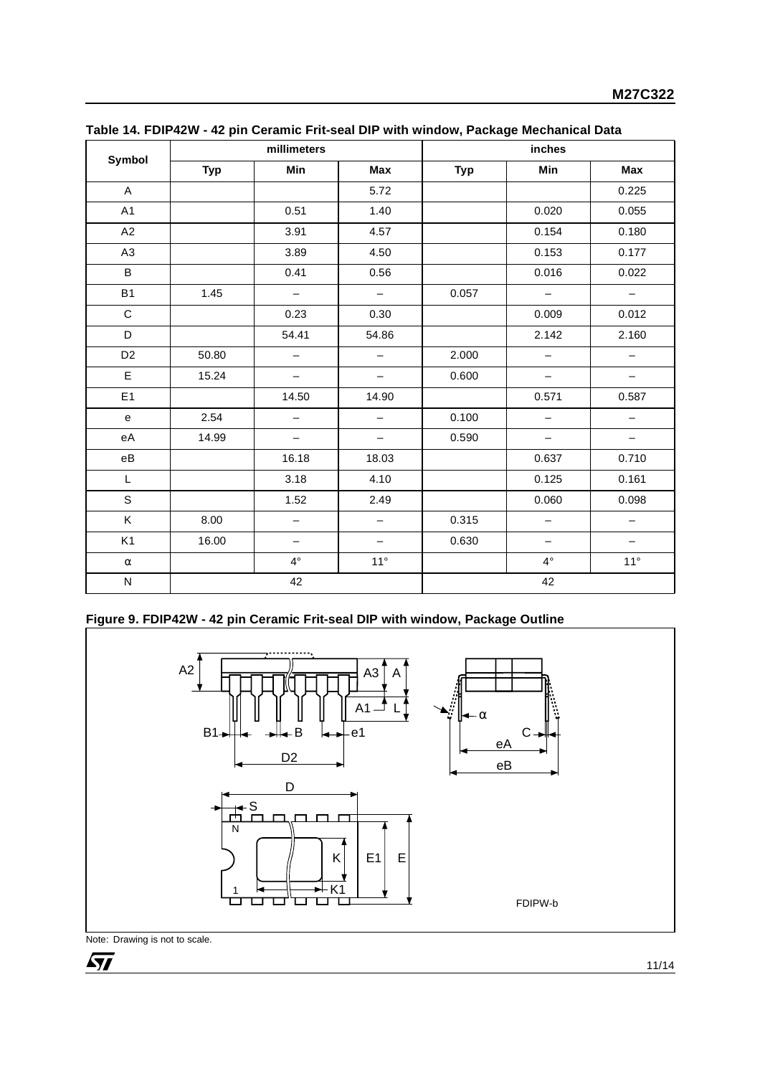|                                            |            | millimeters              |                          | inches     |                          |                          |  |
|--------------------------------------------|------------|--------------------------|--------------------------|------------|--------------------------|--------------------------|--|
| Symbol                                     | <b>Typ</b> | Min                      | Max                      | <b>Typ</b> | Min                      | Max                      |  |
| $\mathsf A$                                |            |                          | 5.72                     |            |                          | 0.225                    |  |
| A1                                         |            | 0.51                     | 1.40                     |            | 0.020                    | 0.055                    |  |
| A2                                         |            | 3.91                     | 4.57                     |            | 0.154                    | 0.180                    |  |
| A <sub>3</sub>                             |            | 3.89                     | 4.50                     |            | 0.153                    | 0.177                    |  |
| B                                          |            | 0.41                     | 0.56                     |            | 0.016                    | 0.022                    |  |
| <b>B1</b>                                  | 1.45       | $\overline{\phantom{m}}$ | $\overline{\phantom{0}}$ | 0.057      | $\overline{\phantom{m}}$ | $\overline{\phantom{a}}$ |  |
| $\mathsf{C}$                               |            | 0.23                     | 0.30                     |            | 0.009                    | 0.012                    |  |
| D                                          |            | 54.41                    | 54.86                    |            | 2.142                    | 2.160                    |  |
| D <sub>2</sub>                             | 50.80      | $\qquad \qquad -$        | $\qquad \qquad -$        | 2.000      | $\qquad \qquad -$        | $\qquad \qquad -$        |  |
| E                                          | 15.24      | $\qquad \qquad -$        | $\qquad \qquad -$        | 0.600      | $\overline{\phantom{0}}$ | $\qquad \qquad -$        |  |
| E1                                         |            | 14.50                    | 14.90                    |            | 0.571                    | 0.587                    |  |
| $\mathsf{e}% _{t}\left( \mathsf{e}\right)$ | 2.54       | $\overline{\phantom{0}}$ | $\qquad \qquad -$        | 0.100      | $\overline{\phantom{m}}$ | $\qquad \qquad -$        |  |
| eA                                         | 14.99      | $\overline{\phantom{m}}$ | $\qquad \qquad -$        | 0.590      | $\overline{\phantom{m}}$ | $\overline{\phantom{0}}$ |  |
| $\rm eB$                                   |            | 16.18                    | 18.03                    |            | 0.637                    | 0.710                    |  |
| L                                          |            | 3.18                     | 4.10                     |            | 0.125                    | 0.161                    |  |
| S                                          |            | 1.52                     | 2.49                     |            | 0.060                    | 0.098                    |  |
| Κ                                          | 8.00       | $\qquad \qquad -$        | $\qquad \qquad -$        | 0.315      | $\qquad \qquad -$        | $\qquad \qquad -$        |  |
| K <sub>1</sub>                             | 16.00      | $\overline{\phantom{m}}$ | $\qquad \qquad -$        | 0.630      | $\overline{\phantom{m}}$ | $\qquad \qquad -$        |  |
| $\alpha$                                   |            | $4^{\circ}$              | $11^{\circ}$             |            | $4^{\circ}$              | $11^{\circ}$             |  |
| ${\sf N}$                                  | 42         |                          |                          | 42         |                          |                          |  |

|  | Table 14. FDIP42W - 42 pin Ceramic Frit-seal DIP with window, Package Mechanical Data |
|--|---------------------------------------------------------------------------------------|
|  |                                                                                       |

# **Figure 9. FDIP42W - 42 pin Ceramic Frit-seal DIP with window, Package Outline**



Note: Drawing is not to scale.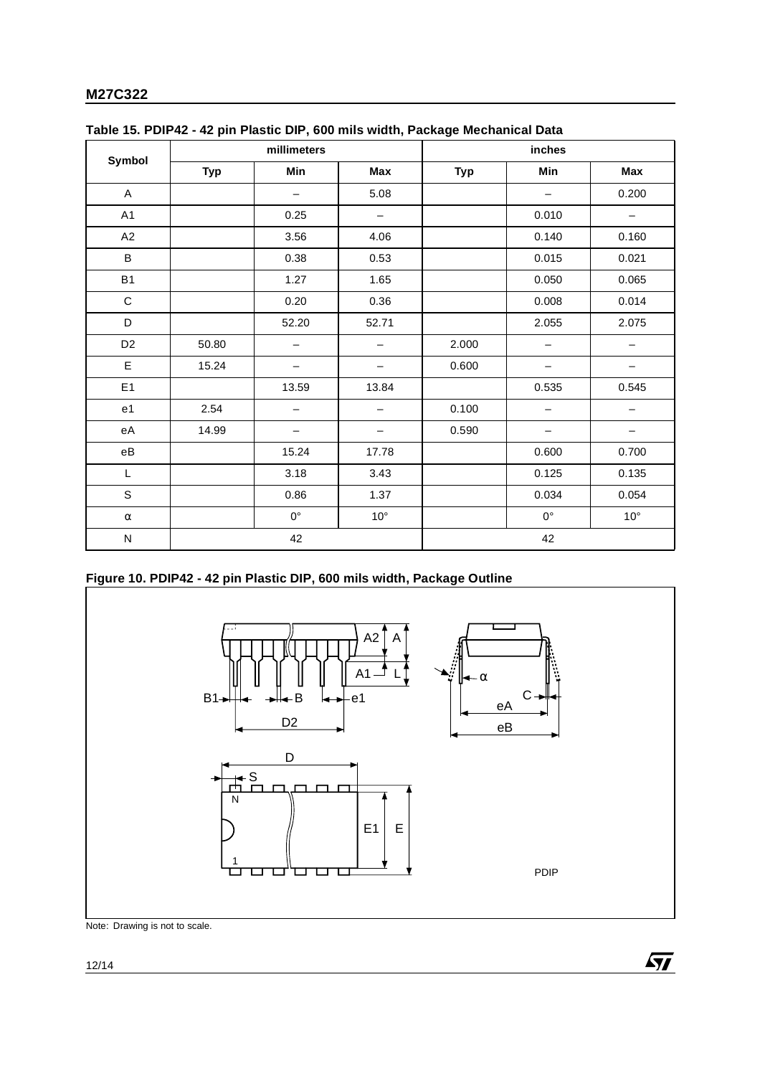| Symbol         | millimeters |                          |                   | inches     |             |              |  |
|----------------|-------------|--------------------------|-------------------|------------|-------------|--------------|--|
|                | <b>Typ</b>  | Min                      | Max               | <b>Typ</b> | Min         | Max          |  |
| A              |             | $\overline{\phantom{0}}$ | 5.08              |            |             | 0.200        |  |
| A1             |             | 0.25                     | $\qquad \qquad -$ |            | 0.010       | -            |  |
| A2             |             | 3.56                     | 4.06              |            | 0.140       | 0.160        |  |
| B              |             | 0.38                     | 0.53              |            | 0.015       | 0.021        |  |
| <b>B1</b>      |             | 1.27                     | 1.65              |            | 0.050       | 0.065        |  |
| $\mathbf C$    |             | 0.20                     | 0.36              |            | 0.008       | 0.014        |  |
| D              |             | 52.20                    | 52.71             |            | 2.055       | 2.075        |  |
| D <sub>2</sub> | 50.80       |                          |                   | 2.000      |             |              |  |
| E              | 15.24       |                          |                   | 0.600      |             |              |  |
| E1             |             | 13.59                    | 13.84             |            | 0.535       | 0.545        |  |
| e1             | 2.54        |                          |                   | 0.100      |             |              |  |
| еA             | 14.99       | $\overline{\phantom{0}}$ | -                 | 0.590      |             | —            |  |
| еB             |             | 15.24                    | 17.78             |            | 0.600       | 0.700        |  |
| L              |             | 3.18                     | 3.43              |            | 0.125       | 0.135        |  |
| S              |             | 0.86                     | 1.37              |            | 0.034       | 0.054        |  |
| $\alpha$       |             | $0^{\circ}$              | $10^{\circ}$      |            | $0^{\circ}$ | $10^{\circ}$ |  |
| $\mathsf{N}$   | 42          |                          |                   | 42         |             |              |  |

| Table 15. PDIP42 - 42 pin Plastic DIP, 600 mils width, Package Mechanical Data |  |  |  |
|--------------------------------------------------------------------------------|--|--|--|
|                                                                                |  |  |  |

# **Figure 10. PDIP42 - 42 pin Plastic DIP, 600 mils width, Package Outline**



Note: Drawing is not to scale.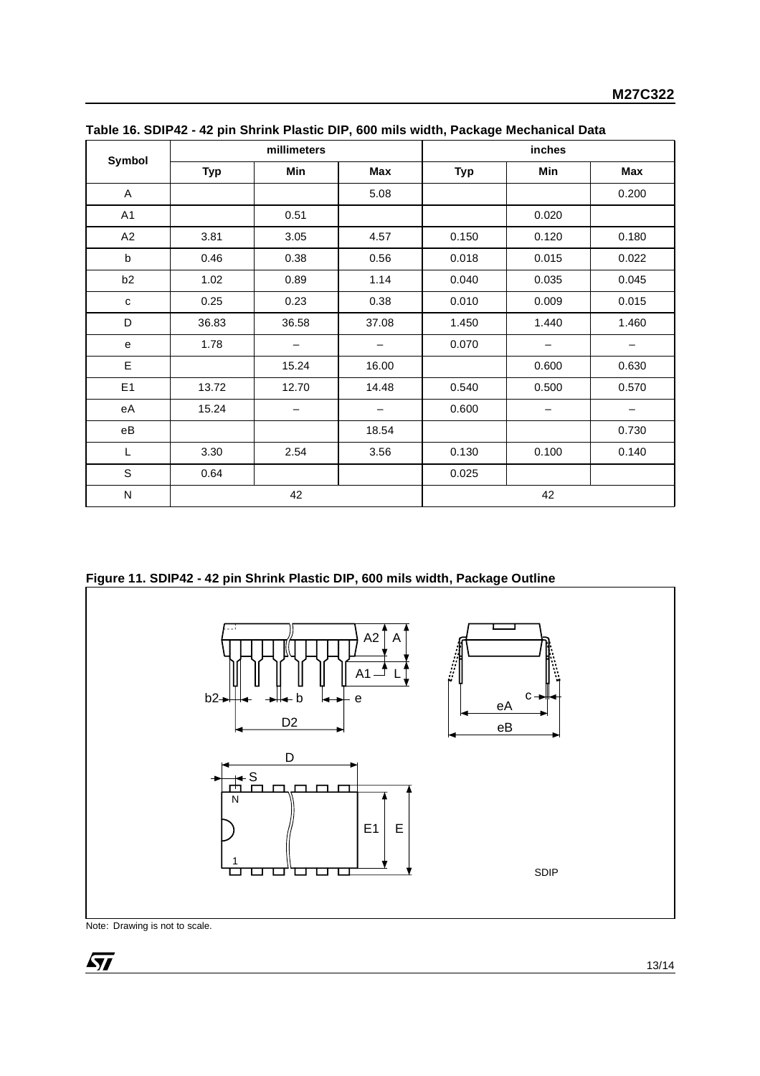| Symbol                 | millimeters |                 |       | inches     |                   |                          |
|------------------------|-------------|-----------------|-------|------------|-------------------|--------------------------|
|                        | <b>Typ</b>  | Min             | Max   | <b>Typ</b> | Min               | <b>Max</b>               |
| A                      |             |                 | 5.08  |            |                   | 0.200                    |
| A1                     |             | 0.51            |       |            | 0.020             |                          |
| A2                     | 3.81        | 3.05            | 4.57  | 0.150      | 0.120             | 0.180                    |
| $\mathsf b$            | 0.46        | 0.38            | 0.56  | 0.018      | 0.015             | 0.022                    |
| b <sub>2</sub>         | 1.02        | 0.89            | 1.14  | 0.040      | 0.035             | 0.045                    |
| $\mathbf{C}$           | 0.25        | 0.23            | 0.38  | 0.010      | 0.009             | 0.015                    |
| D                      | 36.83       | 36.58           | 37.08 | 1.450      | 1.440             | 1.460                    |
| e                      | 1.78        | $\qquad \qquad$ | —     | 0.070      | $\qquad \qquad -$ | $\overline{\phantom{m}}$ |
| E                      |             | 15.24           | 16.00 |            | 0.600             | 0.630                    |
| E1                     | 13.72       | 12.70           | 14.48 | 0.540      | 0.500             | 0.570                    |
| еA                     | 15.24       |                 |       | 0.600      |                   |                          |
| $\mathsf{e}\mathsf{B}$ |             |                 | 18.54 |            |                   | 0.730                    |
| L                      | 3.30        | 2.54            | 3.56  | 0.130      | 0.100             | 0.140                    |
| S                      | 0.64        |                 |       | 0.025      |                   |                          |
| N                      |             | 42              |       |            | 42                |                          |

**Table 16. SDIP42 - 42 pin Shrink Plastic DIP, 600 mils width, Package Mechanical Data**

**Figure 11. SDIP42 - 42 pin Shrink Plastic DIP, 600 mils width, Package Outline**



Note: Drawing is not to scale.